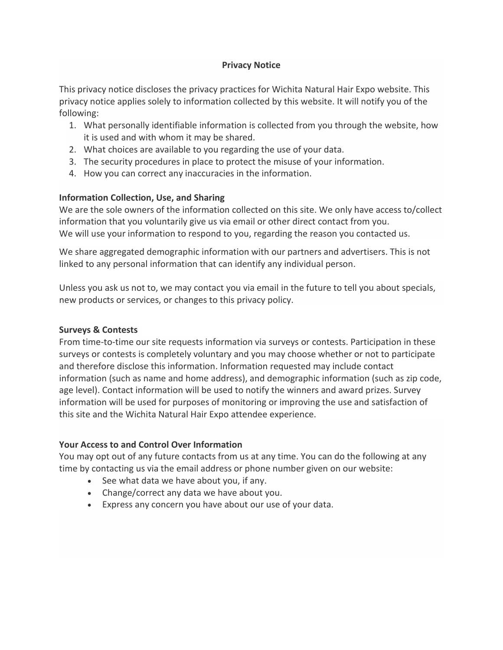### **Privacy Notice**

This privacy notice discloses the privacy practices for Wichita Natural Hair Expo website. This privacy notice applies solely to information collected by this website. It will notify you of the following:

- 1. What personally identifiable information is collected from you through the website, how it is used and with whom it may be shared.
- 2. What choices are available to you regarding the use of your data.
- 3. The security procedures in place to protect the misuse of your information.
- 4. How you can correct any inaccuracies in the information.

# **Information Collection, Use, and Sharing**

We are the sole owners of the information collected on this site. We only have access to/collect information that you voluntarily give us via email or other direct contact from you. We will use your information to respond to you, regarding the reason you contacted us.

We share aggregated demographic information with our partners and advertisers. This is not linked to any personal information that can identify any individual person.

Unless you ask us not to, we may contact you via email in the future to tell you about specials, new products or services, or changes to this privacy policy.

# **Surveys & Contests**

From time-to-time our site requests information via surveys or contests. Participation in these surveys or contests is completely voluntary and you may choose whether or not to participate and therefore disclose this information. Information requested may include contact information (such as name and home address), and demographic information (such as zip code, age level). Contact information will be used to notify the winners and award prizes. Survey information will be used for purposes of monitoring or improving the use and satisfaction of this site and the Wichita Natural Hair Expo attendee experience.

# **Your Access to and Control Over Information**

You may opt out of any future contacts from us at any time. You can do the following at any time by contacting us via the email address or phone number given on our website:

- See what data we have about you, if any.
- Change/correct any data we have about you.
- Express any concern you have about our use of your data.